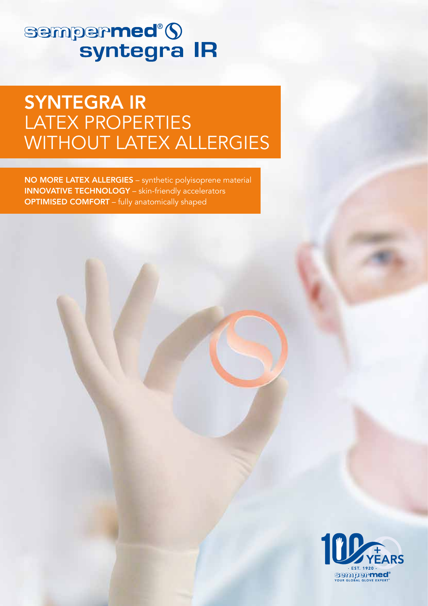# **sempermed<sup>®</sup>(S**<br>syntegra IR

## SYNTEGRA IR LATEX PROPERTIES WITHOUT LATEX ALLERGIES

NO MORE LATEX ALLERGIES – synthetic polyisoprene material INNOVATIVE TECHNOLOGY – skin-friendly accelerators OPTIMISED COMFORT – fully anatomically shaped

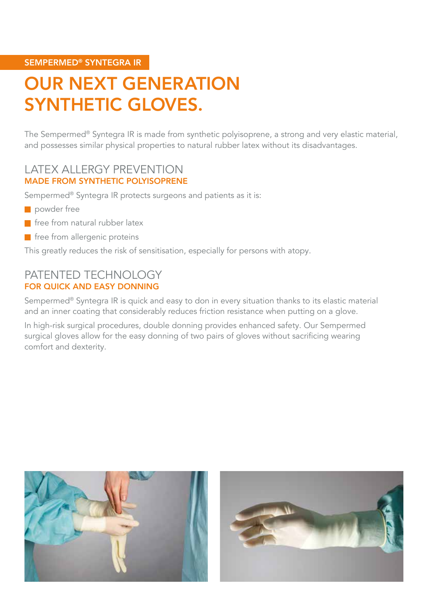#### SEMPERMED® SYNTEGRA IR

## OUR NEXT GENERATION SYNTHETIC GLOVES.

The Sempermed® Syntegra IR is made from synthetic polyisoprene, a strong and very elastic material, and possesses similar physical properties to natural rubber latex without its disadvantages.

#### LATEX ALLERGY PREVENTION MADE FROM SYNTHETIC POLYISOPRENE

Sempermed® Syntegra IR protects surgeons and patients as it is:

- powder free
- $\blacksquare$  free from natural rubber latex
- $\blacksquare$  free from allergenic proteins

This greatly reduces the risk of sensitisation, especially for persons with atopy.

#### PATENTED TECHNOLOGY FOR QUICK AND EASY DONNING

Sempermed® Syntegra IR is quick and easy to don in every situation thanks to its elastic material and an inner coating that considerably reduces friction resistance when putting on a glove.

In high-risk surgical procedures, double donning provides enhanced safety. Our Sempermed surgical gloves allow for the easy donning of two pairs of gloves without sacrificing wearing comfort and dexterity.



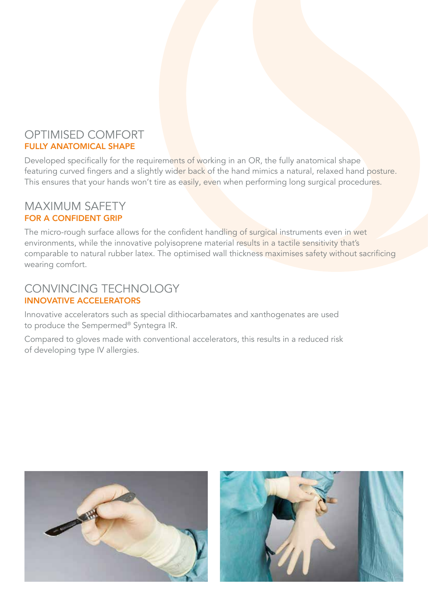### OPTIMISED COMFORT FULLY ANATOMICAL SHAPE

Developed specifically for the requirements of working in an OR, the fully anatomical shape featuring curved fingers and a slightly wider back of the hand mimics a natural, relaxed hand posture. This ensures that your hands won't tire as easily, even when performing long surgical procedures.

#### MAXIMUM SAFETY FOR A CONFIDENT GRIP

The micro-rough surface allows for the confident handling of surgical instruments even in wet environments, while the innovative polyisoprene material results in a tactile sensitivity that's comparable to natural rubber latex. The optimised wall thickness maximises safety without sacrificing wearing comfort.

## CONVINCING TECHNOLOGY INNOVATIVE ACCELERATORS

Innovative accelerators such as special dithiocarbamates and xanthogenates are used to produce the Sempermed® Syntegra IR.

Compared to gloves made with conventional accelerators, this results in a reduced risk of developing type IV allergies.